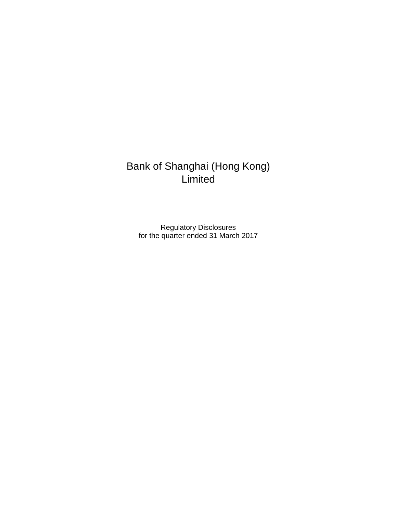## Bank of Shanghai (Hong Kong) **Limited**

Regulatory Disclosures for the quarter ended 31 March 2017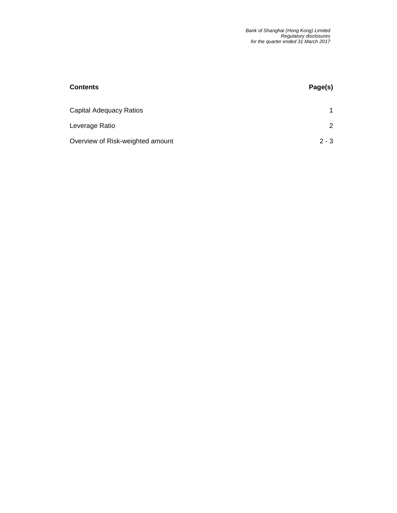| <b>Contents</b>                  | Page(s) |
|----------------------------------|---------|
|                                  |         |
| Capital Adequacy Ratios          | 1       |
| Leverage Ratio                   | 2       |
| Overview of Risk-weighted amount | $2 - 3$ |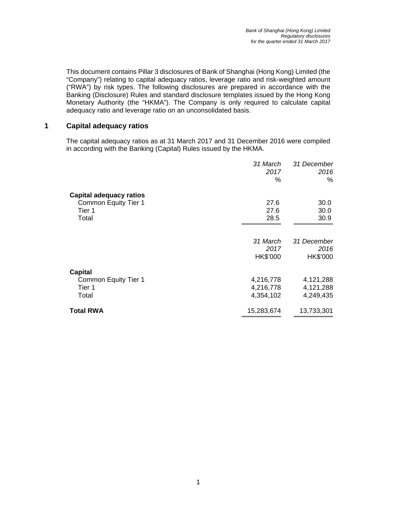This document contains Pillar 3 disclosures of Bank of Shanghai (Hong Kong) Limited (the "Company") relating to capital adequacy ratios, leverage ratio and risk-weighted amount ("RWA") by risk types. The following disclosures are prepared in accordance with the Banking (Disclosure) Rules and standard disclosure templates issued by the Hong Kong Monetary Authority (the "HKMA"). The Company is only required to calculate capital adequacy ratio and leverage ratio on an unconsolidated basis.

## **1 Capital adequacy ratios**

The capital adequacy ratios as at 31 March 2017 and 31 December 2016 were compiled in according with the Banking (Capital) Rules issued by the HKMA.

|                         | 31 March<br>2017<br>℅ | 31 December<br>2016<br>% |
|-------------------------|-----------------------|--------------------------|
| Capital adequacy ratios |                       |                          |
| Common Equity Tier 1    | 27.6<br>27.6          | 30.0                     |
| Tier 1<br>Total         | 28.5                  | 30.0<br>30.9             |
|                         |                       |                          |
|                         | 31 March              | 31 December              |
|                         | 2017                  | 2016                     |
|                         | HK\$'000              | HK\$'000                 |
| Capital                 |                       |                          |
| Common Equity Tier 1    | 4,216,778             | 4,121,288                |
| Tier 1                  | 4,216,778             | 4,121,288                |
| Total                   | 4,354,102             | 4,249,435                |
| <b>Total RWA</b>        | 15,283,674            | 13,733,301               |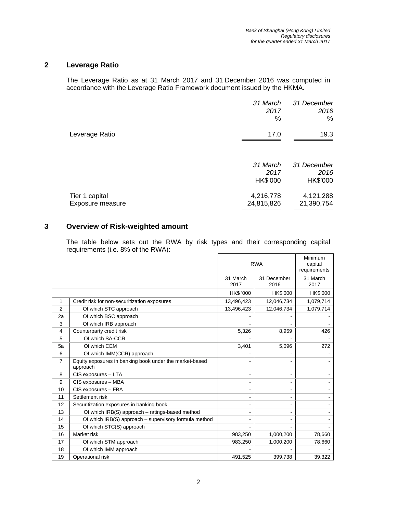## **2 Leverage Ratio**

The Leverage Ratio as at 31 March 2017 and 31 December 2016 was computed in accordance with the Leverage Ratio Framework document issued by the HKMA.

|                                    | 31 March<br>2017<br>%        | 31 December<br>2016<br>%        |
|------------------------------------|------------------------------|---------------------------------|
| Leverage Ratio                     | 17.0                         | 19.3                            |
|                                    | 31 March<br>2017<br>HK\$'000 | 31 December<br>2016<br>HK\$'000 |
| Tier 1 capital<br>Exposure measure | 4,216,778<br>24,815,826      | 4,121,288<br>21,390,754         |

## **3 Overview of Risk-weighted amount**

The table below sets out the RWA by risk types and their corresponding capital requirements (i.e. 8% of the RWA):

|                |                                                                     | <b>RWA</b>       |                     | Minimum<br>capital<br>requirements |
|----------------|---------------------------------------------------------------------|------------------|---------------------|------------------------------------|
|                |                                                                     | 31 March<br>2017 | 31 December<br>2016 | 31 March<br>2017                   |
|                |                                                                     | <b>HK\$ '000</b> | HK\$'000            | HK\$'000                           |
| 1              | Credit risk for non-securitization exposures                        | 13,496,423       | 12,046,734          | 1,079,714                          |
| $\overline{2}$ | Of which STC approach                                               | 13,496,423       | 12,046,734          | 1,079,714                          |
| 2a             | Of which BSC approach                                               |                  |                     |                                    |
| 3              | Of which IRB approach                                               |                  |                     |                                    |
| 4              | Counterparty credit risk                                            | 5,326            | 8,959               | 426                                |
| 5              | Of which SA-CCR                                                     |                  |                     |                                    |
| 5a             | Of which CEM                                                        | 3,401            | 5,096               | 272                                |
| 6              | Of which IMM(CCR) approach                                          |                  |                     |                                    |
| 7              | Equity exposures in banking book under the market-based<br>approach |                  |                     |                                    |
| 8              | CIS exposures - LTA                                                 |                  |                     |                                    |
| 9              | CIS exposures - MBA                                                 |                  |                     |                                    |
| 10             | CIS exposures - FBA                                                 |                  |                     |                                    |
| 11             | Settlement risk                                                     |                  |                     |                                    |
| 12             | Securitization exposures in banking book                            |                  |                     |                                    |
| 13             | Of which IRB(S) approach - ratings-based method                     |                  |                     |                                    |
| 14             | Of which IRB(S) approach - supervisory formula method               |                  |                     |                                    |
| 15             | Of which STC(S) approach                                            |                  |                     |                                    |
| 16             | Market risk                                                         | 983,250          | 1,000,200           | 78,660                             |
| 17             | Of which STM approach                                               | 983,250          | 1,000,200           | 78,660                             |
| 18             | Of which IMM approach                                               |                  |                     |                                    |
| 19             | Operational risk                                                    | 491,525          | 399,738             | 39,322                             |